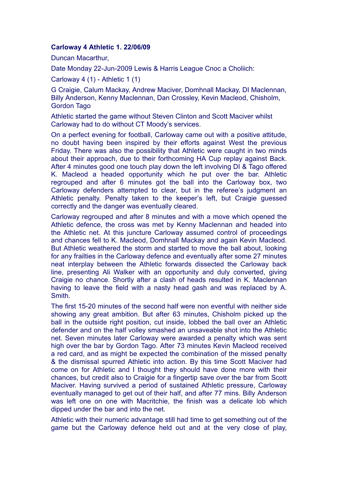## **Carloway 4 Athletic 1. 22/06/09**

Duncan Macarthur,

Date Monday 22-Jun-2009 Lewis & Harris League Cnoc a Choliich:

Carloway 4 (1) - Athletic 1 (1)

G Craigie, Calum Mackay, Andrew Maciver, Domhnall Mackay, DI Maclennan, Billy Anderson, Kenny Maclennan, Dan Crossley, Kevin Macleod, Chisholm, Gordon Tago

Athletic started the game without Steven Clinton and Scott Maciver whilst Carloway had to do without CT Moody's services.

On a perfect evening for football, Carloway came out with a positive attitude, no doubt having been inspired by their efforts against West the previous Friday. There was also the possibility that Athletic were caught in two minds about their approach, due to their forthcoming HA Cup replay against Back. After 4 minutes good one touch play down the left involving DI & Tago offered K. Macleod a headed opportunity which he put over the bar. Athletic regrouped and after 6 minutes got the ball into the Carloway box, two Carloway defenders attempted to clear, but in the referee's judgment an Athletic penalty. Penalty taken to the keeper's left, but Craigie guessed correctly and the danger was eventually cleared.

Carloway regrouped and after 8 minutes and with a move which opened the Athletic defence, the cross was met by Kenny Maclennan and headed into the Athletic net. At this juncture Carloway assumed control of proceedings and chances fell to K. Macleod, Domhnall Mackay and again Kevin Macleod. But Athletic weathered the storm and started to move the ball about, looking for any frailties in the Carloway defence and eventually after some 27 minutes neat interplay between the Athletic forwards dissected the Carloway back line, presenting Ali Walker with an opportunity and duly converted, giving Craigie no chance. Shortly after a clash of heads resulted in K. Maclennan having to leave the field with a nasty head gash and was replaced by A. Smith.

The first 15-20 minutes of the second half were non eventful with neither side showing any great ambition. But after 63 minutes, Chisholm picked up the ball in the outside right position, cut inside, lobbed the ball over an Athletic defender and on the half volley smashed an unsaveable shot into the Athletic net. Seven minutes later Carloway were awarded a penalty which was sent high over the bar by Gordon Tago. After 73 minutes Kevin Macleod received a red card, and as might be expected the combination of the missed penalty & the dismissal spurred Athletic into action. By this time Scott Maciver had come on for Athletic and I thought they should have done more with their chances, but credit also to Craigie for a fingertip save over the bar from Scott Maciver. Having survived a period of sustained Athletic pressure, Carloway eventually managed to get out of their half, and after 77 mins. Billy Anderson was left one on one with Macritchie, the finish was a delicate lob which dipped under the bar and into the net.

Athletic with their numeric advantage still had time to get something out of the game but the Carloway defence held out and at the very close of play,